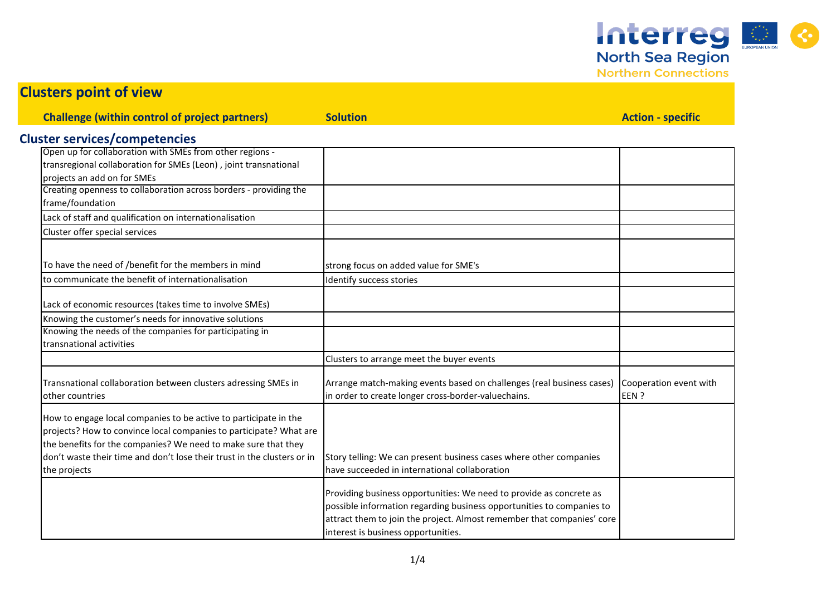Interreg &

| <b>CIUSICIS PUILLE UL VICWE</b>                                                                                                                                                                                                                                                                     |                                                                                                                                                                                                                                                               |                                |
|-----------------------------------------------------------------------------------------------------------------------------------------------------------------------------------------------------------------------------------------------------------------------------------------------------|---------------------------------------------------------------------------------------------------------------------------------------------------------------------------------------------------------------------------------------------------------------|--------------------------------|
| <b>Challenge (within control of project partners)</b>                                                                                                                                                                                                                                               | <b>Solution</b>                                                                                                                                                                                                                                               | <b>Action - specific</b>       |
| <b>Cluster services/competencies</b>                                                                                                                                                                                                                                                                |                                                                                                                                                                                                                                                               |                                |
| Open up for collaboration with SMEs from other regions -<br>transregional collaboration for SMEs (Leon), joint transnational<br>projects an add on for SMEs                                                                                                                                         |                                                                                                                                                                                                                                                               |                                |
| Creating openness to collaboration across borders - providing the<br>frame/foundation                                                                                                                                                                                                               |                                                                                                                                                                                                                                                               |                                |
| Lack of staff and qualification on internationalisation                                                                                                                                                                                                                                             |                                                                                                                                                                                                                                                               |                                |
| Cluster offer special services                                                                                                                                                                                                                                                                      |                                                                                                                                                                                                                                                               |                                |
| To have the need of /benefit for the members in mind                                                                                                                                                                                                                                                | strong focus on added value for SME's                                                                                                                                                                                                                         |                                |
| to communicate the benefit of internationalisation                                                                                                                                                                                                                                                  | Identify success stories                                                                                                                                                                                                                                      |                                |
| Lack of economic resources (takes time to involve SMEs)                                                                                                                                                                                                                                             |                                                                                                                                                                                                                                                               |                                |
| Knowing the customer's needs for innovative solutions<br>Knowing the needs of the companies for participating in<br>transnational activities                                                                                                                                                        |                                                                                                                                                                                                                                                               |                                |
|                                                                                                                                                                                                                                                                                                     | Clusters to arrange meet the buyer events                                                                                                                                                                                                                     |                                |
| Transnational collaboration between clusters adressing SMEs in<br>other countries                                                                                                                                                                                                                   | Arrange match-making events based on challenges (real business cases)<br>in order to create longer cross-border-valuechains.                                                                                                                                  | Cooperation event with<br>EEN? |
| How to engage local companies to be active to participate in the<br>projects? How to convince local companies to participate? What are<br>the benefits for the companies? We need to make sure that they<br>don't waste their time and don't lose their trust in the clusters or in<br>the projects | Story telling: We can present business cases where other companies<br>have succeeded in international collaboration                                                                                                                                           |                                |
|                                                                                                                                                                                                                                                                                                     | Providing business opportunities: We need to provide as concrete as<br>possible information regarding business opportunities to companies to<br>attract them to join the project. Almost remember that companies' core<br>interest is business opportunities. |                                |

**Clusters point of view**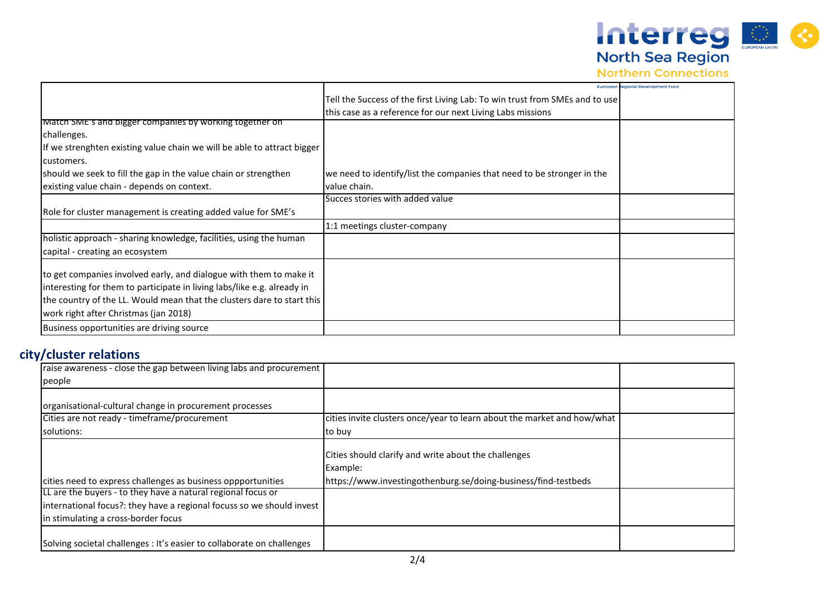North Sea Region

|                                                                         | European                                                                    | egional Development Fund |
|-------------------------------------------------------------------------|-----------------------------------------------------------------------------|--------------------------|
|                                                                         | Tell the Success of the first Living Lab: To win trust from SMEs and to use |                          |
|                                                                         |                                                                             |                          |
| Match SME's and bigger companies by working together on                 | this case as a reference for our next Living Labs missions                  |                          |
|                                                                         |                                                                             |                          |
| challenges.                                                             |                                                                             |                          |
| If we strenghten existing value chain we will be able to attract bigger |                                                                             |                          |
| customers.                                                              |                                                                             |                          |
| should we seek to fill the gap in the value chain or strengthen         | we need to identify/list the companies that need to be stronger in the      |                          |
| existing value chain - depends on context.                              | value chain.                                                                |                          |
|                                                                         | Succes stories with added value                                             |                          |
| Role for cluster management is creating added value for SME's           |                                                                             |                          |
|                                                                         | 1:1 meetings cluster-company                                                |                          |
| holistic approach - sharing knowledge, facilities, using the human      |                                                                             |                          |
| capital - creating an ecosystem                                         |                                                                             |                          |
|                                                                         |                                                                             |                          |
| to get companies involved early, and dialogue with them to make it      |                                                                             |                          |
| interesting for them to participate in living labs/like e.g. already in |                                                                             |                          |
| the country of the LL. Would mean that the clusters dare to start this  |                                                                             |                          |
| work right after Christmas (jan 2018)                                   |                                                                             |                          |
| Business opportunities are driving source                               |                                                                             |                          |

## **city/cluster relations**

| raise awareness - close the gap between living labs and procurement    |                                                                         |  |
|------------------------------------------------------------------------|-------------------------------------------------------------------------|--|
| people                                                                 |                                                                         |  |
|                                                                        |                                                                         |  |
| organisational-cultural change in procurement processes                |                                                                         |  |
| Cities are not ready - timeframe/procurement                           | cities invite clusters once/year to learn about the market and how/what |  |
| solutions:                                                             | to buy                                                                  |  |
|                                                                        | Cities should clarify and write about the challenges                    |  |
|                                                                        | Example:                                                                |  |
| cities need to express challenges as business oppportunities           | https://www.investingothenburg.se/doing-business/find-testbeds          |  |
| LL are the buyers - to they have a natural regional focus or           |                                                                         |  |
| international focus?: they have a regional focuss so we should invest  |                                                                         |  |
| in stimulating a cross-border focus                                    |                                                                         |  |
| Solving societal challenges : It's easier to collaborate on challenges |                                                                         |  |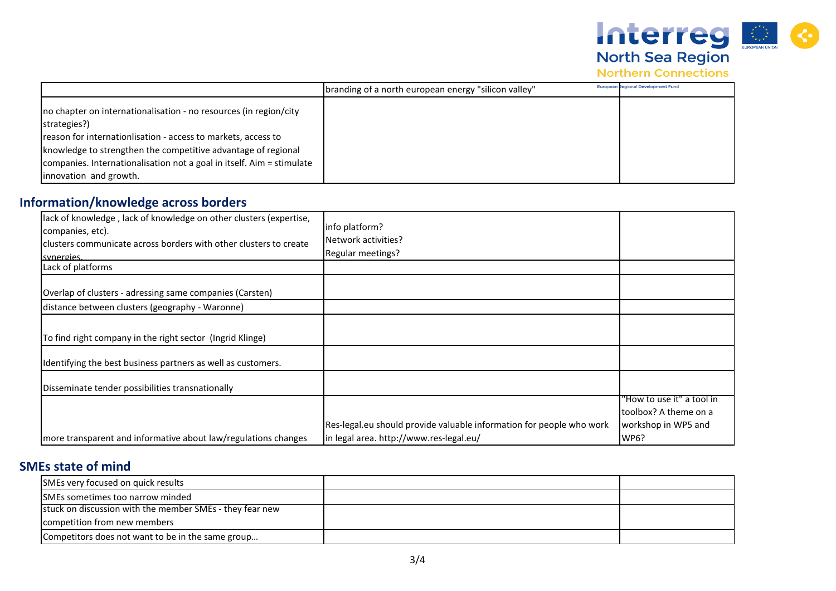

**Northern Connections** 

|                                                                                                                                | "Ibranding of a north european energy "silicon valley" | <b>European Regional Development Fund</b> |
|--------------------------------------------------------------------------------------------------------------------------------|--------------------------------------------------------|-------------------------------------------|
| Ino chapter on internationalisation - no resources (in region/city<br>strategies?)                                             |                                                        |                                           |
| reason for internationlisation - access to markets, access to<br>knowledge to strengthen the competitive advantage of regional |                                                        |                                           |
| companies. Internationalisation not a goal in itself. Aim = stimulate<br>innovation and growth.                                |                                                        |                                           |

## **Information/knowledge across borders**

| lack of knowledge, lack of knowledge on other clusters (expertise,<br>companies, etc).<br>clusters communicate across borders with other clusters to create<br>synergies. | info platform?<br>Network activities?<br>Regular meetings?           |                           |
|---------------------------------------------------------------------------------------------------------------------------------------------------------------------------|----------------------------------------------------------------------|---------------------------|
| Lack of platforms                                                                                                                                                         |                                                                      |                           |
| Overlap of clusters - adressing same companies (Carsten)                                                                                                                  |                                                                      |                           |
| distance between clusters (geography - Waronne)                                                                                                                           |                                                                      |                           |
| To find right company in the right sector (Ingrid Klinge)                                                                                                                 |                                                                      |                           |
| Identifying the best business partners as well as customers.                                                                                                              |                                                                      |                           |
| Disseminate tender possibilities transnationally                                                                                                                          |                                                                      |                           |
|                                                                                                                                                                           |                                                                      | "How to use it" a tool in |
|                                                                                                                                                                           |                                                                      | Itoolbox? A theme on a    |
|                                                                                                                                                                           | Res-legal.eu should provide valuable information for people who work | workshop in WP5 and       |
| more transparent and informative about law/regulations changes                                                                                                            | in legal area. http://www.res-legal.eu/                              | WP6?                      |

## **SMEs state of mind**

| SMEs very focused on quick results                       |  |
|----------------------------------------------------------|--|
| SMEs sometimes too narrow minded                         |  |
| stuck on discussion with the member SMEs - they fear new |  |
| competition from new members                             |  |
| Competitors does not want to be in the same group        |  |